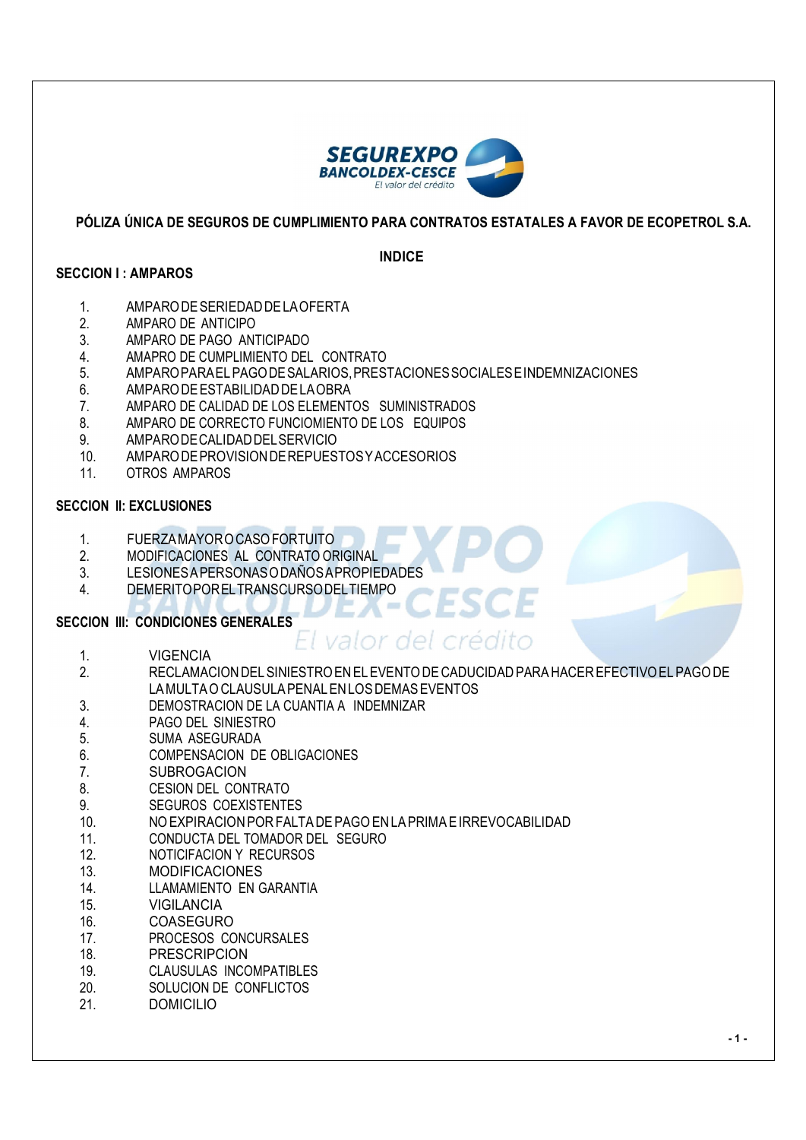

#### INDICE

#### SECCION I : AMPAROS

- 1. AMPARODESERIEDADDELAOFERTA
- 2. AMPARO DE ANTICIPO
- 3. AMPARO DE PAGO ANTICIPADO
- 4. AMAPRO DE CUMPLIMIENTO DEL CONTRATO
- 5. AMPAROPARAELPAGODESALARIOS,PRESTACIONESSOCIALESEINDEMNIZACIONES
- 6. AMPARODEESTABILIDADDELAOBRA
- 7. AMPARO DE CALIDAD DE LOS ELEMENTOS SUMINISTRADOS
- 8. AMPARO DE CORRECTO FUNCIOMIENTO DE LOS EQUIPOS
- 9. AMPARODECALIDADDELSERVICIO
- 10. AMPARODEPROVISIONDEREPUESTOSYACCESORIOS
- 11. OTROS AMPAROS

#### SECCION II: EXCLUSIONES

- 1. FUERZAMAYOROCASOFORTUITO
- 2. MODIFICACIONES AL CONTRATO ORIGINAL
- 3. LESIONESAPERSONASODAÑOSAPROPIEDADES
- 4. DEMERITOPORELTRANSCURSODELTIEMPO

#### SECCION III: CONDICIONES GENERALES

1. VIGENCIA

# valor del crédito

- 2. RECLAMACION DELSINIESTRO EN ELEVENTO DE CADUCIDAD PARA HACER EFECTIVO ELPAGO DE LAMULTAO CLAUSULAPENALEN LOS DEMASEVENTOS
- 3. DEMOSTRACION DE LA CUANTIA A INDEMNIZAR
- 4. PAGO DEL SINIESTRO
- 5. SUMA ASEGURADA
- 6. COMPENSACION DE OBLIGACIONES
- 7. SUBROGACION
- 8. CESION DEL CONTRATO
- 9. SEGUROS COEXISTENTES
- 10. NO EXPIRACION POR FALTA DEPAGO EN LAPRIMAEIRREVOCABILIDAD
- 11. CONDUCTA DEL TOMADOR DEL SEGURO
- 12. NOTICIFACION Y RECURSOS
- 13. MODIFICACIONES
- 14. LLAMAMIENTO EN GARANTIA
- 15. VIGILANCIA
- 16. COASEGURO
- 17. PROCESOS CONCURSALES
- 18. PRESCRIPCION
- 19. CLAUSULAS INCOMPATIBLES
- 20. SOLUCION DE CONFLICTOS
- 21. DOMICILIO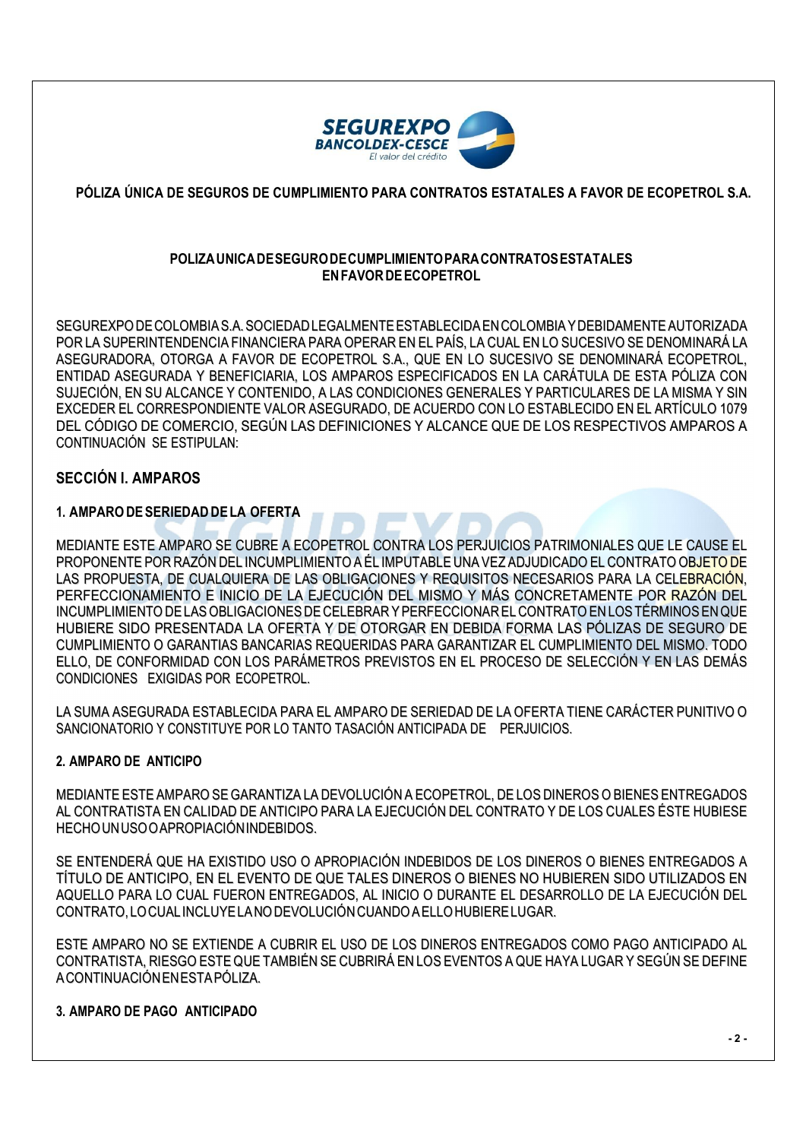

# POLIZAUNICADESEGURODECUMPLIMIENTOPARACONTRATOSESTATALES ENFAVOR DEECOPETROL

SEGUREXPO DE COLOMBIAS.A. SOCIEDADLEGALMENTEESTABLECIDAENCOLOMBIAYDEBIDAMENTEAUTORIZADA POR LA SUPERINTENDENCIA FINANCIERA PARA OPERAR EN EL PAÍS, LA CUAL EN LO SUCESIVO SE DENOMINARÁ LA ASEGURADORA, OTORGA A FAVOR DE ECOPETROL S.A., QUE EN LO SUCESIVO SE DENOMINARÁ ECOPETROL, ENTIDAD ASEGURADA Y BENEFICIARIA, LOS AMPAROS ESPECIFICADOS EN LA CARÁTULA DE ESTA PÓLIZA CON SUJECIÓN, EN SU ALCANCE Y CONTENIDO, A LAS CONDICIONES GENERALES Y PARTICULARES DE LA MISMA Y SIN EXCEDER EL CORRESPONDIENTE VALOR ASEGURADO, DE ACUERDO CON LO ESTABLECIDO EN EL ARTÍCULO 1079 DEL CÓDIGO DE COMERCIO, SEGÚN LAS DEFINICIONES Y ALCANCE QUE DE LOS RESPECTIVOS AMPAROS A CONTINUACIÓN SE ESTIPULAN:

# SECCIÓN I. AMPAROS

# 1. AMPARO DESERIEDAD DELA OFERTA

MEDIANTE ESTE AMPARO SE CUBRE A ECOPETROL CONTRA LOS PERJUICIOS PATRIMONIALES QUE LE CAUSE EL PROPONENTE POR RAZÓN DELINCUMPLIMIENTO A ÉLIMPUTABLE UNA VEZ ADJUDICADO EL CONTRATO OBJETO DE LAS PROPUESTA, DE CUALQUIERA DE LAS OBLIGACIONES Y REQUISITOS NECESARIOS PARA LA CELEBRACIÓN. PERFECCIONAMIENTO E INICIO DE LA EJECUCIÓN DEL MISMO Y MÁS CONCRETAMENTE POR RAZÓN DEL INCUMPLIMIENTO DELAS OBLIGACIONES DE CELEBRAR YPERFECCIONAR EL CONTRATO EN LOSTÉRMINOSENQUE HUBIERE SIDO PRESENTADA LA OFERTA Y DE OTORGAR EN DEBIDA FORMA LAS PÓLIZAS DE SEGURO DE CUMPLIMIENTO O GARANTIAS BANCARIAS REQUERIDAS PARA GARANTIZAR EL CUMPLIMIENTO DEL MISMO. TODO ELLO, DE CONFORMIDAD CON LOS PARÁMETROS PREVISTOS EN EL PROCESO DE SELECCIÓN Y EN LAS DEMÁS CONDICIONES EXIGIDAS POR ECOPETROL.

LA SUMA ASEGURADA ESTABLECIDA PARA EL AMPARO DE SERIEDAD DE LA OFERTA TIENE CARÁCTER PUNITIVO O SANCIONATORIO Y CONSTITUYE POR LO TANTO TASACIÓN ANTICIPADA DE PERJUICIOS.

# 2. AMPARO DE ANTICIPO

MEDIANTE ESTE AMPARO SE GARANTIZA LA DEVOLUCIÓN A ECOPETROL, DE LOS DINEROS O BIENES ENTREGADOS AL CONTRATISTA EN CALIDAD DE ANTICIPO PARA LA EJECUCIÓN DEL CONTRATO Y DE LOS CUALES ÉSTE HUBIESE HECHOUNUSOOAPROPIACIÓNINDEBIDOS.

SE ENTENDERÁ QUE HA EXISTIDO USO O APROPIACIÓN INDEBIDOS DE LOS DINEROS O BIENES ENTREGADOS A TÍTULO DE ANTICIPO, EN EL EVENTO DE QUE TALES DINEROS O BIENES NO HUBIEREN SIDO UTILIZADOS EN AQUELLO PARA LO CUAL FUERON ENTREGADOS, AL INICIO O DURANTE EL DESARROLLO DE LA EJECUCIÓN DEL CONTRATO, LOCUALINCLUYELA NODEVOLUCIÓNCUANDO AELLOHUBIERELUGAR.

ESTE AMPARO NO SE EXTIENDE A CUBRIR EL USO DE LOS DINEROS ENTREGADOS COMO PAGO ANTICIPADO AL CONTRATISTA, RIESGO ESTE QUE TAMBIÉN SE CUBRIRÁ EN LOS EVENTOS A QUE HAYA LUGAR Y SEGÚN SE DEFINE ACONTINUACIÓNENESTAPÓLIZA.

# 3. AMPARO DE PAGO ANTICIPADO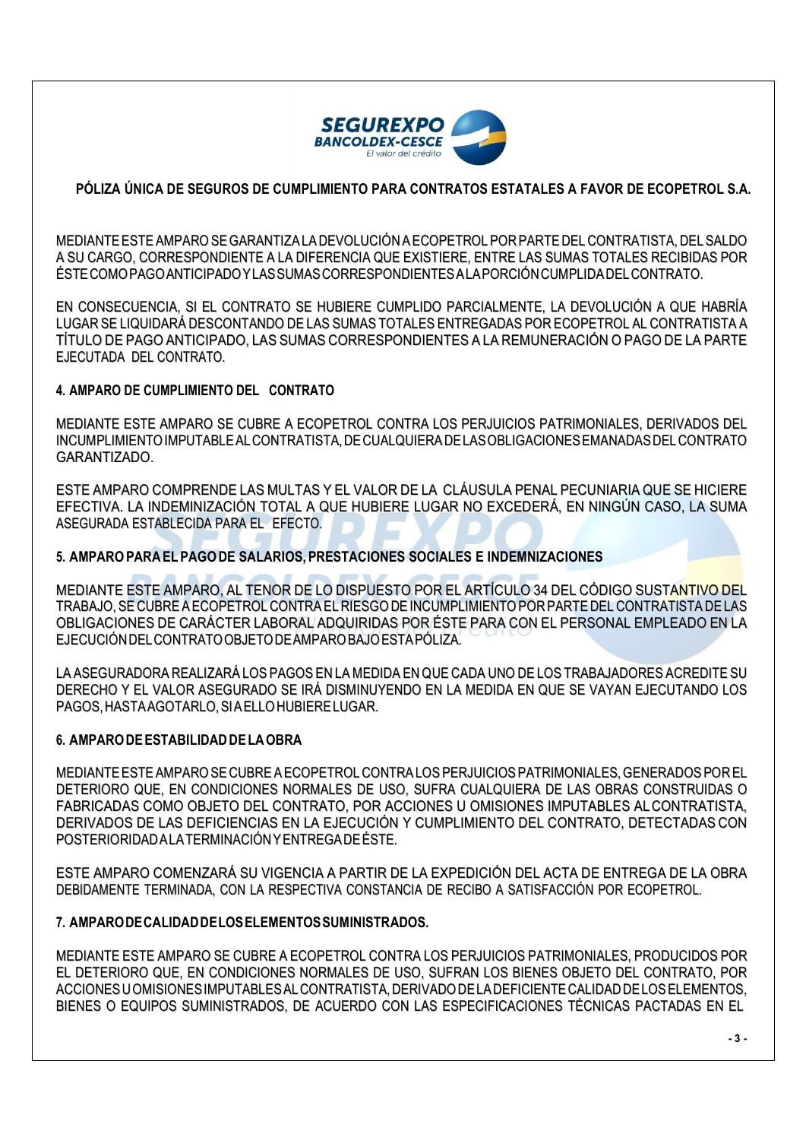

MEDIANTEESTEAMPARO SEGARANTIZALA DEVOLUCIÓN AECOPETROL POR PARTE DEL CONTRATISTA, DELSALDO A SU CARGO, CORRESPONDIENTE A LA DIFERENCIA QUE EXISTIERE, ENTRE LAS SUMAS TOTALES RECIBIDAS POR ÉSTECOMOPAGOANTICIPADOYLASSUMASCORRESPONDIENTESALAPORCIÓNCUMPLIDADELCONTRATO.

EN CONSECUENCIA, SI EL CONTRATO SE HUBIERE CUMPLIDO PARCIALMENTE, LA DEVOLUCIÓN A QUE HABRÍA LUGAR SE LIQUIDARÁ DESCONTANDO DE LAS SUMAS TOTALES ENTREGADAS POR ECOPETROL AL CONTRATISTA A TÍTULO DE PAGO ANTICIPADO, LAS SUMAS CORRESPONDIENTES A LA REMUNERACIÓN O PAGO DE LA PARTE EJECUTADA DEL CONTRATO.

#### 4. AMPARO DE CUMPLIMIENTO DEL CONTRATO

MEDIANTE ESTE AMPARO SE CUBRE A ECOPETROL CONTRA LOS PERJUICIOS PATRIMONIALES, DERIVADOS DEL INCUMPLIMIENTOIMPUTABLEALCONTRATISTA, DECUALQUIERA DELASOBLIGACIONESEMANADASDEL CONTRATO GARANTIZADO.

ESTE AMPARO COMPRENDE LAS MULTAS Y EL VALOR DE LA CLÁUSULA PENAL PECUNIARIA QUE SE HICIERE EFECTIVA. LA INDEMINIZACIÓN TOTAL A QUE HUBIERE LUGAR NO EXCEDERÁ, EN NINGÚN CASO, LA SUMA ASEGURADA ESTABLECIDA PARA EL EFECTO.

#### 5. AMPARO PARA ELPAGO DE SALARIOS,PRESTACIONES SOCIALES E INDEMNIZACIONES

MEDIANTE ESTE AMPARO, AL TENOR DE LO DISPUESTO POR EL ARTÍCULO 34 DEL CÓDIGO SUSTANTIVO DEL TRABAJO, SE CUBRE AECOPETROL CONTRA EL RIESGO DEINCUMPLIMIENTO POR PARTE DEL CONTRATISTA DELAS OBLIGACIONES DE CARÁCTER LABORAL ADQUIRIDAS POR ÉSTE PARA CON EL PERSONAL EMPLEADO EN LA EJECUCIÓNDELCONTRATOOBJETODEAMPAROBAJOESTAPÓLIZA.

LA ASEGURADORA REALIZARÁ LOS PAGOS EN LA MEDIDA EN QUE CADA UNO DE LOS TRABAJADORES ACREDITE SU DERECHO Y EL VALOR ASEGURADO SE IRÁ DISMINUYENDO EN LA MEDIDA EN QUE SE VAYAN EJECUTANDO LOS PAGOS, HASTAAGOTARLO, SI AELLOHUBIERELUGAR.

#### 6. AMPARODEESTABILIDAD DELAOBRA

MEDIANTEESTE AMPARO SE CUBRE A ECOPETROL CONTRALOSPERJUICIOSPATRIMONIALES, GENERADOSPOR EL DETERIORO QUE, EN CONDICIONES NORMALES DE USO, SUFRA CUALQUIERA DE LAS OBRAS CONSTRUIDAS O FABRICADAS COMO OBJETO DEL CONTRATO, POR ACCIONES U OMISIONES IMPUTABLES ALCONTRATISTA, DERIVADOS DE LAS DEFICIENCIAS EN LA EJECUCIÓN Y CUMPLIMIENTO DEL CONTRATO, DETECTADAS CON POSTERIORIDADALATERMINACIÓNYENTREGADEÉSTE.

ESTE AMPARO COMENZARÁ SU VIGENCIA A PARTIR DE LA EXPEDICIÓN DEL ACTA DE ENTREGA DE LA OBRA DEBIDAMENTE TERMINADA, CON LA RESPECTIVA CONSTANCIA DE RECIBO A SATISFACCIÓN POR ECOPETROL.

#### 7. AMPARODECALIDADDELOSELEMENTOSSUMINISTRADOS.

MEDIANTE ESTE AMPARO SE CUBRE A ECOPETROL CONTRA LOS PERJUICIOS PATRIMONIALES, PRODUCIDOS POR EL DETERIORO QUE, EN CONDICIONES NORMALES DE USO, SUFRAN LOS BIENES OBJETO DEL CONTRATO, POR ACCIONESUOMISIONESIMPUTABLESAL CONTRATISTA, DERIVADO DELADEFICIENTE CALIDAD DELOSELEMENTOS, BIENES O EQUIPOS SUMINISTRADOS, DE ACUERDO CON LAS ESPECIFICACIONES TÉCNICAS PACTADAS EN EL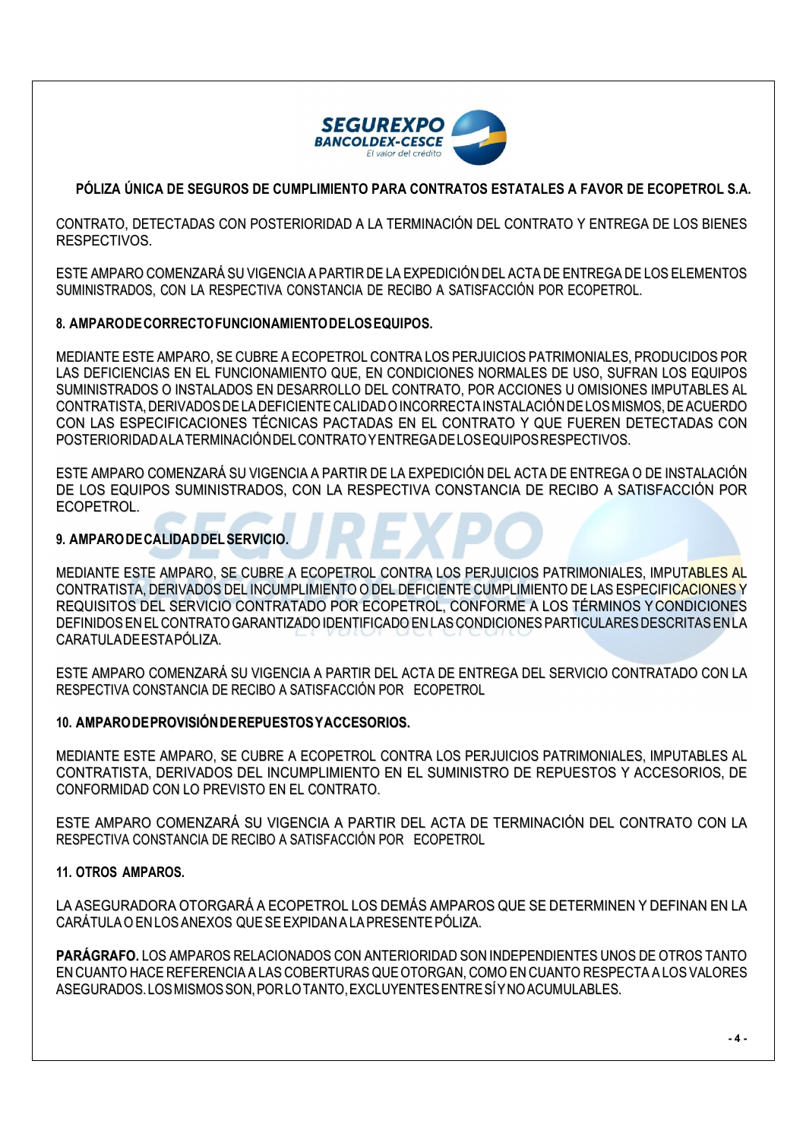

CONTRATO, DETECTADAS CON POSTERIORIDAD A LA TERMINACIÓN DEL CONTRATO Y ENTREGA DE LOS BIENES RESPECTIVOS.

ESTE AMPARO COMENZARÁ SU VIGENCIA A PARTIR DE LA EXPEDICIÓN DEL ACTA DE ENTREGA DE LOS ELEMENTOS SUMINISTRADOS, CON LA RESPECTIVA CONSTANCIA DE RECIBO A SATISFACCIÓN POR ECOPETROL.

# 8. AMPARODECORRECTOFUNCIONAMIENTODELOSEQUIPOS.

MEDIANTE ESTE AMPARO, SE CUBRE A ECOPETROL CONTRA LOS PERJUICIOS PATRIMONIALES, PRODUCIDOS POR LAS DEFICIENCIAS EN EL FUNCIONAMIENTO QUE, EN CONDICIONES NORMALES DE USO, SUFRAN LOS EQUIPOS SUMINISTRADOS O INSTALADOS EN DESARROLLO DEL CONTRATO, POR ACCIONES U OMISIONES IMPUTABLES AL CONTRATISTA, DERIVADOS DELA DEFICIENTE CALIDADOINCORRECTAINSTALACIÓN DELOSMISMOS, DEACUERDO CON LAS ESPECIFICACIONES TÉCNICAS PACTADAS EN EL CONTRATO Y QUE FUEREN DETECTADAS CON POSTERIORIDADALATERMINACIÓNDELCONTRATOYENTREGADELOSEQUIPOSRESPECTIVOS.

ESTE AMPARO COMENZARÁ SU VIGENCIA A PARTIR DE LA EXPEDICIÓN DEL ACTA DE ENTREGA O DE INSTALACIÓN DE LOS EQUIPOS SUMINISTRADOS, CON LA RESPECTIVA CONSTANCIA DE RECIBO A SATISFACCIÓN POR ECOPETROL.

#### 9. AMPARODECALIDADDELSERVICIO.

MEDIANTE ESTE AMPARO, SE CUBRE A ECOPETROL CONTRA LOS PERJUICIOS PATRIMONIALES, IMPUTABLES AL CONTRATISTA, DERIVADOS DEL INCUMPLIMIENTO O DEL DEFICIENTE CUMPLIMIENTO DE LAS ESPECIFICACIONES Y REQUISITOS DEL SERVICIO CONTRATADO POR ECOPETROL, CONFORME A LOS TÉRMINOS YCONDICIONES DEFINIDOS EN EL CONTRATO GARANTIZADOIDENTIFICADO EN LAS CONDICIONES PARTICULARES DESCRITASEN LA CARATULADEESTAPÓLIZA.

ESTE AMPARO COMENZARÁ SU VIGENCIA A PARTIR DEL ACTA DE ENTREGA DEL SERVICIO CONTRATADO CON LA RESPECTIVA CONSTANCIA DE RECIBO A SATISFACCIÓN POR ECOPETROL

# 10. AMPARODEPROVISIÓNDEREPUESTOSYACCESORIOS.

MEDIANTE ESTE AMPARO, SE CUBRE A ECOPETROL CONTRA LOS PERJUICIOS PATRIMONIALES, IMPUTABLES AL CONTRATISTA, DERIVADOS DEL INCUMPLIMIENTO EN EL SUMINISTRO DE REPUESTOS Y ACCESORIOS, DE CONFORMIDAD CON LO PREVISTO EN EL CONTRATO.

ESTE AMPARO COMENZARÁ SU VIGENCIA A PARTIR DEL ACTA DE TERMINACIÓN DEL CONTRATO CON LA RESPECTIVA CONSTANCIA DE RECIBO A SATISFACCIÓN POR ECOPETROL

#### 11. OTROS AMPAROS.

LA ASEGURADORA OTORGARÁ A ECOPETROL LOS DEMÁS AMPAROS QUE SE DETERMINEN Y DEFINAN EN LA CARÁTULA O EN LOS ANEXOS QUE SEEXPIDAN A LA PRESENTEPÓLIZA.

PARÁGRAFO. LOS AMPAROS RELACIONADOS CON ANTERIORIDAD SON INDEPENDIENTES UNOS DE OTROS TANTO EN CUANTO HACE REFERENCIA A LAS COBERTURAS QUE OTORGAN, COMO EN CUANTO RESPECTA A LOS VALORES ASEGURADOS. LOSMISMOSSON, PORLOTANTO, EXCLUYENTESENTRESÍ YNO ACUMULABLES.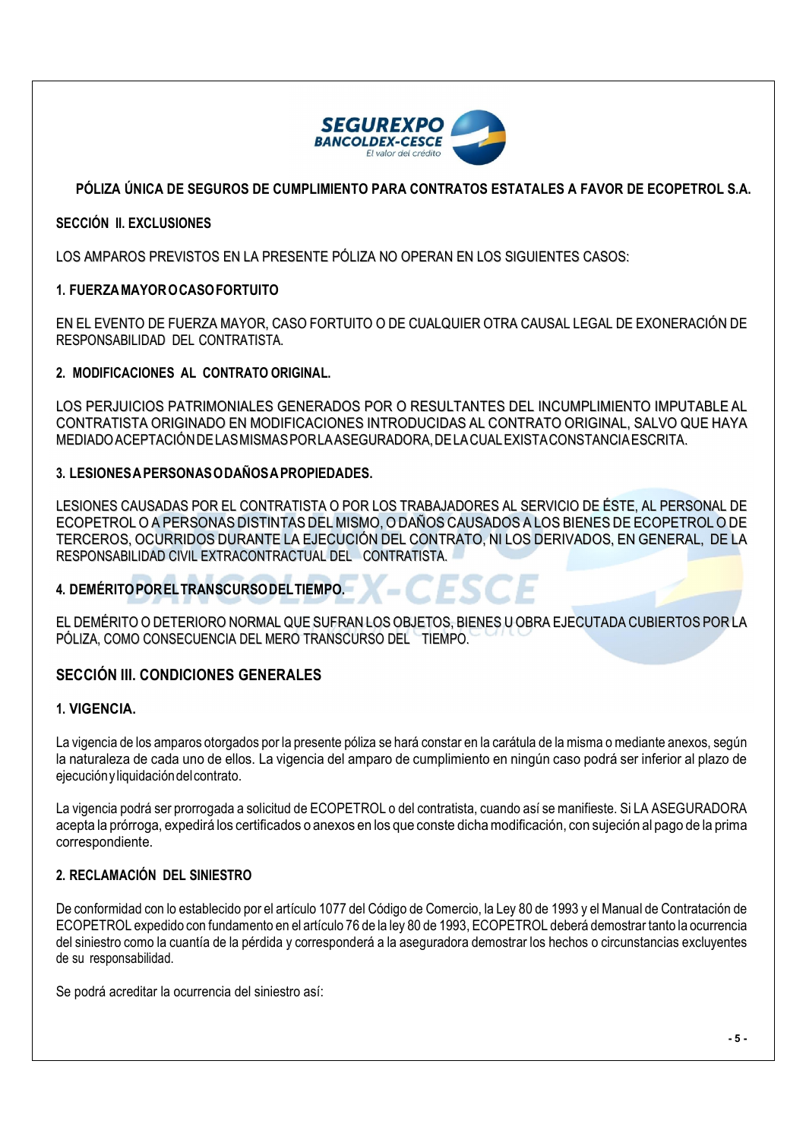

#### SECCIÓN II. EXCLUSIONES

LOS AMPAROS PREVISTOS EN LA PRESENTE PÓLIZA NO OPERAN EN LOS SIGUIENTES CASOS:

# 1. FUERZAMAYOROCASOFORTUITO

EN EL EVENTO DE FUERZA MAYOR, CASO FORTUITO O DE CUALQUIER OTRA CAUSAL LEGAL DE EXONERACIÓN DE RESPONSABILIDAD DEL CONTRATISTA.

#### 2. MODIFICACIONES AL CONTRATO ORIGINAL.

LOS PERJUICIOS PATRIMONIALES GENERADOS POR O RESULTANTES DEL INCUMPLIMIENTO IMPUTABLE AL CONTRATISTA ORIGINADO EN MODIFICACIONES INTRODUCIDAS AL CONTRATO ORIGINAL, SALVO QUE HAYA MEDIADOACEPTACIÓNDELASMISMASPORLAASEGURADORA, DELACUALEXISTACONSTANCIAESCRITA.

#### 3. LESIONESAPERSONASODAÑOSAPROPIEDADES.

LESIONES CAUSADAS POR EL CONTRATISTA O POR LOS TRABAJADORES AL SERVICIO DE ÉSTE, AL PERSONAL DE ECOPETROL O A PERSONAS DISTINTAS DEL MISMO, O DAÑOS CAUSADOS A LOS BIENES DE ECOPETROL O DE TERCEROS, OCURRIDOS DURANTE LA EJECUCIÓN DEL CONTRATO, NI LOS DERIVADOS, EN GENERAL, DE LA RESPONSABILIDAD CIVIL EXTRACONTRACTUAL DEL CONTRATISTA.

# 4. DEMÉRITOPORELTRANSCURSODELTIEMPO.

EL DEMÉRITO O DETERIORO NORMAL QUE SUFRAN LOS OBJETOS, BIENES U OBRA EJECUTADA CUBIERTOS POR LA PÓLIZA, COMO CONSECUENCIA DEL MERO TRANSCURSO DEL TIEMPO.

# SECCIÓN III. CONDICIONES GENERALES

#### 1. VIGENCIA.

La vigencia de los amparos otorgados por la presente póliza se hará constar en la carátula de la misma o mediante anexos, según la naturaleza de cada uno de ellos. La vigencia del amparo de cumplimiento en ningún caso podrá ser inferior al plazo de ejecuciónyliquidacióndelcontrato.

La vigencia podrá ser prorrogada a solicitud de ECOPETROL o del contratista, cuando así se manifieste. Si LA ASEGURADORA acepta la prórroga, expedirá los certificados o anexos en los que conste dicha modificación, con sujeción al pago de la prima correspondiente.

#### 2. RECLAMACIÓN DEL SINIESTRO

De conformidad con lo establecido por el artículo 1077 del Código de Comercio, la Ley 80 de 1993 y el Manual de Contratación de ECOPETROL expedido con fundamento en el artículo 76 de la ley 80 de 1993, ECOPETROL deberá demostrar tanto la ocurrencia del siniestro como la cuantía de la pérdida y corresponderá a la aseguradora demostrar los hechos o circunstancias excluyentes de su responsabilidad.

Se podrá acreditar la ocurrencia del siniestro así: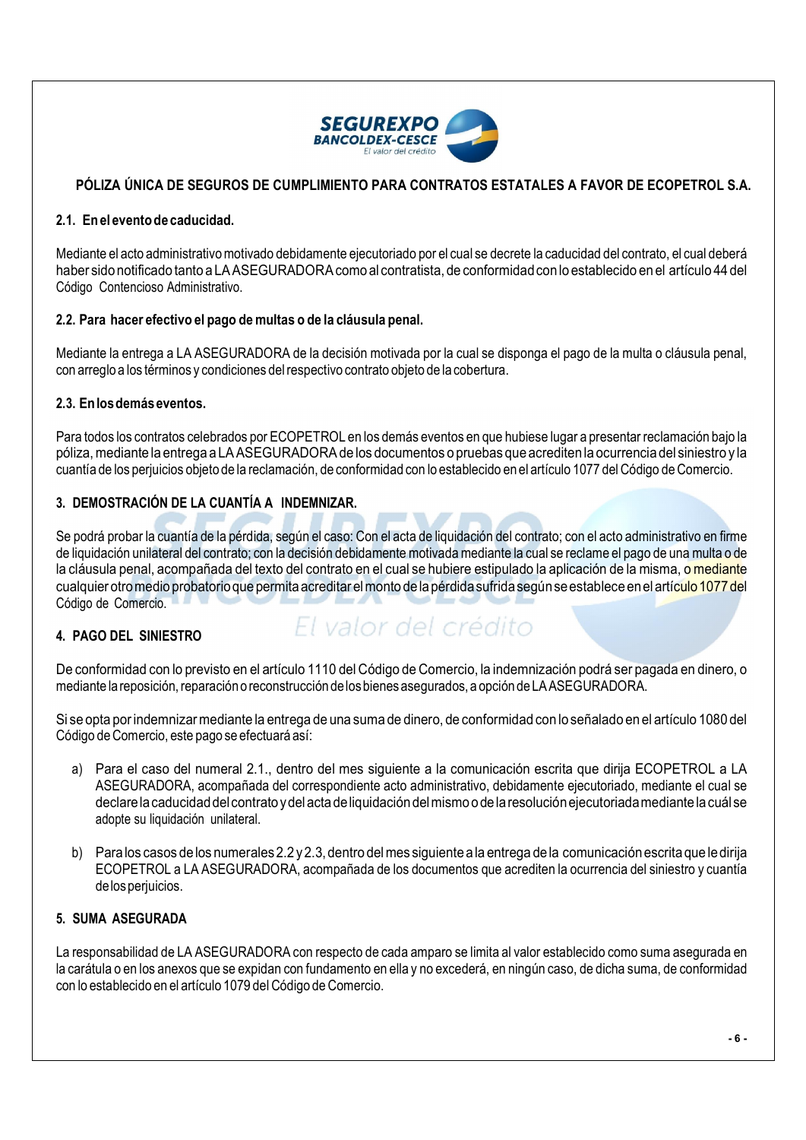

#### 2.1. En el eventode caducidad.

Mediante el acto administrativo motivado debidamente ejecutoriado por el cual se decrete la caducidad del contrato, el cual deberá haber sidonotificado tantoa LAASEGURADORAcomo al contratista, de conformidadconloestablecido en el artículo 44 del Código Contencioso Administrativo.

# 2.2. Para hacer efectivo el pago de multas o de la cláusula penal.

Mediante la entrega a LA ASEGURADORA de la decisión motivada por la cual se disponga el pago de la multa o cláusula penal, con arreglo a los términos y condiciones delrespectivo contrato objeto de la cobertura.

#### 2.3. Enlosdemáseventos.

Para todos los contratos celebrados por ECOPETROL en los demás eventos en que hubiese lugar a presentar reclamación bajo la póliza, mediante la entrega a LAASEGURADORAde los documentos o pruebas queacreditenla ocurrencia del siniestro y la cuantía de los perjuicios objeto de la reclamación, de conformidad con lo establecido en el artículo 1077 del Código de Comercio.

# 3. DEMOSTRACIÓN DE LA CUANTÍA A INDEMNIZAR.

Se podrá probar la cuantía de la pérdida, según el caso: Con el acta de liquidación del contrato; con el acto administrativo en firme de liquidación unilateral del contrato; con la decisión debidamente motivada mediante la cual se reclame el pago de una multa o de la cláusula penal, acompañada del texto del contrato en el cual se hubiere estipulado la aplicación de la misma, o mediante cualquier otro medio probatorio que permita acreditar el monto de la pérdida sufrida según se establece en el artículo 1077 del Código de Comercio.

# 4. PAGO DEL SINIESTRO

# El valor del crédito

De conformidad con lo previsto en el artículo 1110 del Código de Comercio, la indemnización podrá ser pagada en dinero, o mediante lareposición,reparaciónoreconstrucción delosbienesasegurados, a opción de LAASEGURADORA.

Si se opta porindemnizar mediante la entrega de una suma de dinero, de conformidad con loseñalado en el artículo 1080 del Código de Comercio, este pago se efectuará así:

- a) Para el caso del numeral 2.1., dentro del mes siguiente a la comunicación escrita que dirija ECOPETROL a LA ASEGURADORA, acompañada del correspondiente acto administrativo, debidamente ejecutoriado, mediante el cual se declare la caducidad del contrato y del acta de liquidación del mismo o de la resolución ejecutoriada mediante la cuál se adopte su liquidación unilateral.
- b) Para los casos de los numerales 2.2 y 2.3, dentro del mes siguiente a la entrega de la comunicación escrita que le dirija ECOPETROL a LA ASEGURADORA, acompañada de los documentos que acrediten la ocurrencia del siniestro y cuantía de los periuicios.

# 5. SUMA ASEGURADA

La responsabilidad de LA ASEGURADORA con respecto de cada amparo se limita al valor establecido como suma asegurada en la carátula o en los anexos que se expidan con fundamento en ella y no excederá, en ningún caso, de dicha suma, de conformidad con lo establecido en el artículo 1079 del Código de Comercio.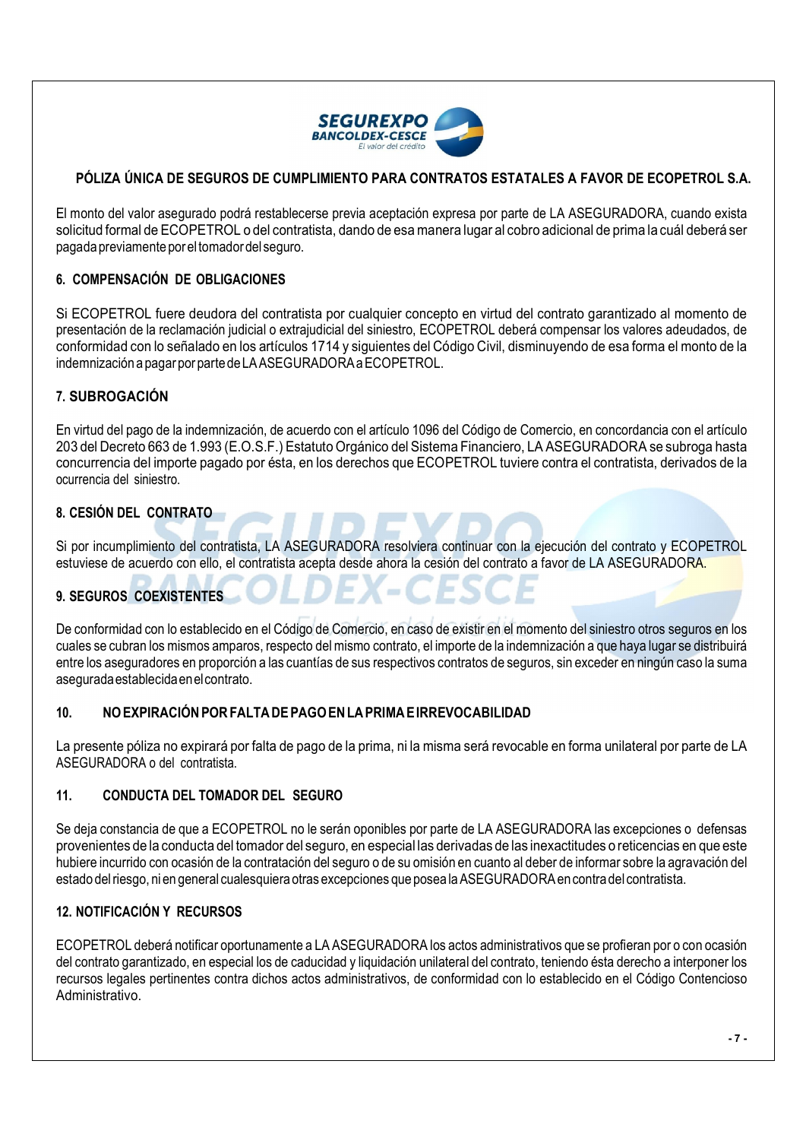

El monto del valor asegurado podrá restablecerse previa aceptación expresa por parte de LA ASEGURADORA, cuando exista solicitud formal de ECOPETROL o del contratista, dando de esa manera lugar al cobro adicional de prima la cuál deberá ser pagadapreviamente poreltomadordel seguro.

# 6. COMPENSACIÓN DE OBLIGACIONES

Si ECOPETROL fuere deudora del contratista por cualquier concepto en virtud del contrato garantizado al momento de presentación de la reclamación judicial o extrajudicial del siniestro, ECOPETROL deberá compensar los valores adeudados, de conformidad con lo señalado en los artículos 1714 y siguientes del Código Civil, disminuyendo de esa forma el monto de la indemnización apagarpor parte deLAASEGURADORAaECOPETROL.

# 7. SUBROGACIÓN

En virtud del pago de la indemnización, de acuerdo con el artículo 1096 del Código de Comercio, en concordancia con el artículo 203 del Decreto 663 de 1.993 (E.O.S.F.) Estatuto Orgánico del Sistema Financiero, LA ASEGURADORA se subroga hasta concurrencia del importe pagado por ésta, en los derechos que ECOPETROL tuviere contra el contratista, derivados de la ocurrencia del siniestro.

#### 8. CESIÓN DEL CONTRATO

Si por incumplimiento del contratista, LA ASEGURADORA resolviera continuar con la ejecución del contrato y ECOPETROL estuviese de acuerdo con ello, el contratista acepta desde ahora la cesión del contrato a favor de LA ASEGURADORA.

# 9. SEGUROS COEXISTENTES

De conformidad con lo establecido en el Código de Comercio, en caso de existir en el momento del siniestro otros seguros en los cuales se cubran los mismos amparos, respecto del mismo contrato, el importe de la indemnización a que haya lugar se distribuirá entre los aseguradores en proporción a las cuantías de sus respectivos contratos de seguros, sin exceder en ningún caso la suma aseguradaestablecidaenelcontrato.

#### 10. NOEXPIRACIÓN POR FALTA DEPAGOEN LAPRIMA EIRREVOCABILIDAD

La presente póliza no expirará por falta de pago de la prima, ni la misma será revocable en forma unilateral por parte de LA ASEGURADORA o del contratista.

#### 11. CONDUCTA DEL TOMADOR DEL SEGURO

Se deja constancia de que a ECOPETROL no le serán oponibles por parte de LA ASEGURADORA las excepciones o defensas provenientes de la conducta del tomador del seguro, en especial las derivadas de las inexactitudes o reticencias en que este hubiere incurrido con ocasión de la contratación del seguro o de su omisión en cuanto al deber de informar sobre la agravación del estado delriesgo, ni en general cualesquiera otras excepciones que posea laASEGURADORAen contra del contratista.

#### 12. NOTIFICACIÓN Y RECURSOS

ECOPETROL deberá notificar oportunamente a LA ASEGURADORA los actos administrativos que se profieran por o con ocasión del contrato garantizado, en especial los de caducidad y liquidación unilateral del contrato, teniendo ésta derecho a interponer los recursos legales pertinentes contra dichos actos administrativos, de conformidad con lo establecido en el Código Contencioso Administrativo.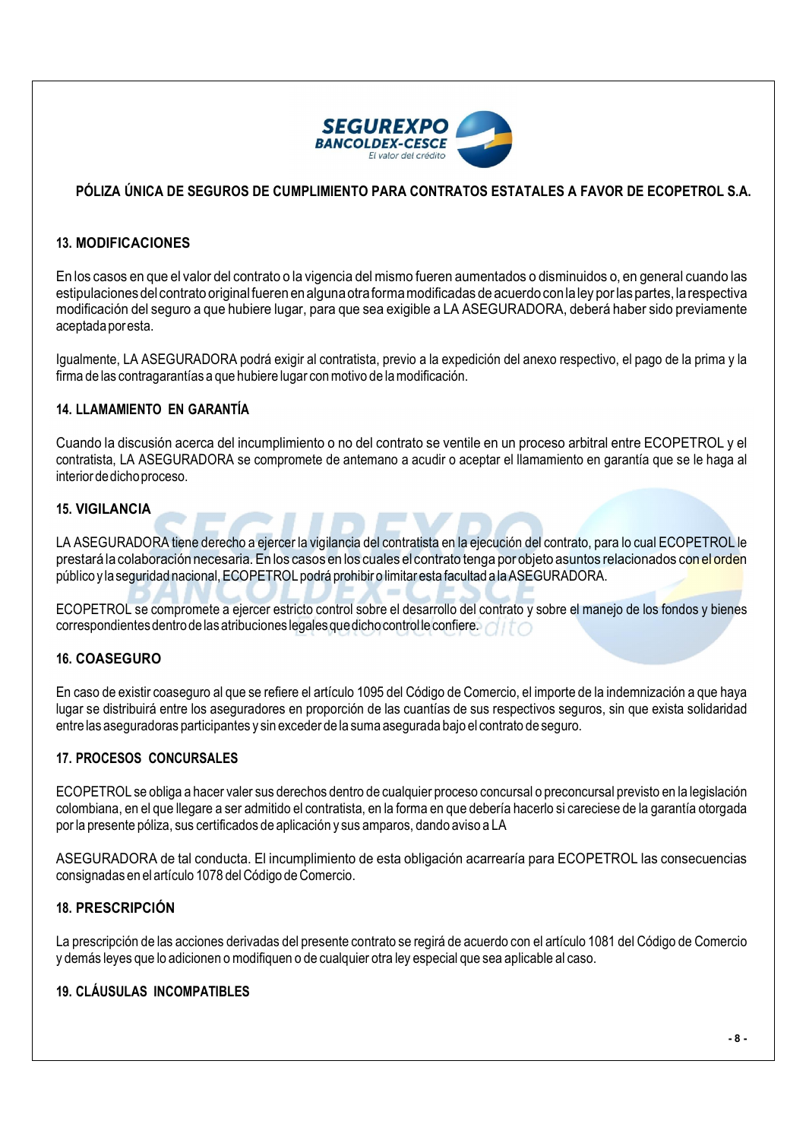

# 13. MODIFICACIONES

En los casos en que el valor del contrato o la vigencia del mismo fueren aumentados o disminuidos o, en general cuando las estipulaciones del contrato originalfueren enalgunaotraformamodificadas de acuerdoconlaley porlaspartes, larespectiva modificación del seguro a que hubiere lugar, para que sea exigible a LA ASEGURADORA, deberá haber sido previamente aceptadaporesta.

Igualmente, LA ASEGURADORA podrá exigir al contratista, previo a la expedición del anexo respectivo, el pago de la prima y la firma de las contragarantías a que hubiere lugar con motivo de la modificación.

#### 14. LLAMAMIENTO EN GARANTÍA

Cuando la discusión acerca del incumplimiento o no del contrato se ventile en un proceso arbitral entre ECOPETROL y el contratista, LA ASEGURADORA se compromete de antemano a acudir o aceptar el llamamiento en garantía que se le haga al interior dedichoproceso.

#### 15. VIGILANCIA

LA ASEGURADORA tiene derecho a ejercer la vigilancia del contratista en la ejecución del contrato, para lo cual ECOPETROL le prestarálacolaboración necesaria. En los casos en los cuales el contrato tenga por objeto asuntos relacionados con el orden público y la seguridad nacional, ECOPETROL podrá prohibir o limitar esta facultad a la ASEGURADORA.

ECOPETROL se compromete a ejercer estricto control sobre el desarrollo del contrato y sobre el manejo de los fondos y bienes correspondientes dentro de las atribuciones legales que dicho control le confiere.  $\bigcap I$ 

#### 16. COASEGURO

En caso de existir coaseguro al que se refiere el artículo 1095 del Código de Comercio, el importe de la indemnización a que haya lugar se distribuirá entre los aseguradores en proporción de las cuantías de sus respectivos seguros, sin que exista solidaridad entre las aseguradoras participantes y sin exceder de la suma asegurada bajo el contrato de seguro.

#### 17. PROCESOS CONCURSALES

ECOPETROL se obliga a hacer valer sus derechos dentro de cualquier proceso concursal o preconcursal previsto en la legislación colombiana, en el que llegare a ser admitido el contratista, en la forma en que debería hacerlo si careciese de la garantía otorgada por la presente póliza, sus certificados de aplicación y sus amparos, dando aviso a LA

ASEGURADORA de tal conducta. El incumplimiento de esta obligación acarrearía para ECOPETROL las consecuencias consignadas en el artículo 1078 del Código de Comercio.

#### 18. PRESCRIPCIÓN

La prescripción de las acciones derivadas del presente contrato se regirá de acuerdo con el artículo 1081 del Código de Comercio y demás leyes que lo adicionen o modifiquen o de cualquier otra ley especial que sea aplicable al caso.

# 19. CLÁUSULAS INCOMPATIBLES